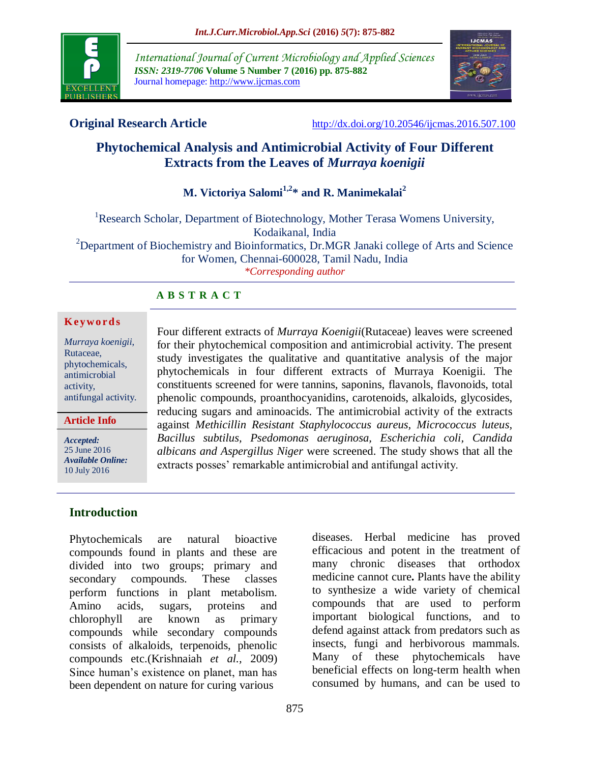

*International Journal of Current Microbiology and Applied Sciences ISSN: 2319-7706* **Volume 5 Number 7 (2016) pp. 875-882** Journal homepage: http://www.ijcmas.com



**Original Research Article** <http://dx.doi.org/10.20546/ijcmas.2016.507.100>

# **Phytochemical Analysis and Antimicrobial Activity of Four Different Extracts from the Leaves of** *Murraya koenigii*

# **M. Victoriya Salomi1,2\* and R. Manimekalai<sup>2</sup>**

<sup>1</sup>Research Scholar, Department of Biotechnology, Mother Terasa Womens University, Kodaikanal, India <sup>2</sup>Department of Biochemistry and Bioinformatics, Dr.MGR Janaki college of Arts and Science for Women, Chennai-600028, Tamil Nadu, India *\*Corresponding author*

#### **A B S T R A C T**

#### **K ey w o rd s**

*Murraya koenigii*, Rutaceae, phytochemicals, antimicrobial activity, antifungal activity.

**Article Info**

*Accepted:*  25 June 2016 *Available Online:* 10 July 2016

**Introduction**

Phytochemicals are natural bioactive compounds found in plants and these are divided into two groups; primary and secondary compounds. These classes perform functions in plant metabolism. Amino acids, sugars, proteins and chlorophyll are known as primary compounds while secondary compounds consists of alkaloids, terpenoids, phenolic compounds etc.(Krishnaiah *et al.,* 2009) Since human's existence on planet, man has been dependent on nature for curing various

Four different extracts of *Murraya Koenigii*(Rutaceae) leaves were screened for their phytochemical composition and antimicrobial activity. The present study investigates the qualitative and quantitative analysis of the major phytochemicals in four different extracts of Murraya Koenigii. The constituents screened for were tannins, saponins, flavanols, flavonoids, total phenolic compounds, proanthocyanidins, carotenoids, alkaloids, glycosides, reducing sugars and aminoacids. The antimicrobial activity of the extracts against *Methicillin Resistant Staphylococcus aureus, Micrococcus luteus, Bacillus subtilus, Psedomonas aeruginosa, Escherichia coli, Candida albicans and Aspergillus Niger* were screened. The study shows that all the extracts posses' remarkable antimicrobial and antifungal activity.

> diseases. Herbal medicine has proved efficacious and potent in the treatment of many chronic diseases that orthodox medicine cannot cure**.** Plants have the ability to synthesize a wide variety of chemical compounds that are used to perform important biological functions, and to defend against attack from predators such as insects, fungi and herbivorous mammals. Many of these [phytochemicals](http://en.wikipedia.org/wiki/Phytochemicals) have beneficial effects on long-term health when consumed by humans, and can be used to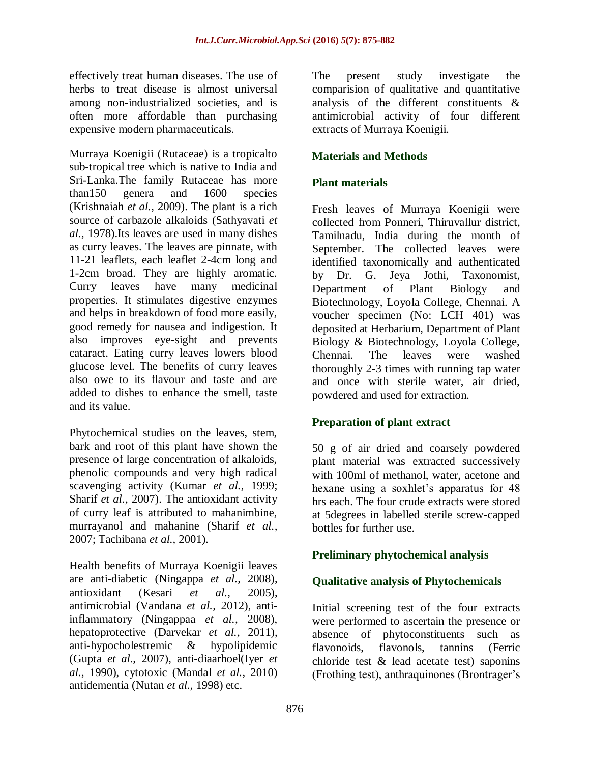effectively treat human diseases. The use of [herbs](http://en.wikipedia.org/wiki/Herb) to treat [disease](http://en.wikipedia.org/wiki/Disease) is almost universal among non-industrialized societies, and is often more affordable than purchasing expensive modern pharmaceuticals.

Murraya Koenigii (Rutaceae) is a tropicalto sub-tropical tree which is native to India and Sri-Lanka.The family Rutaceae has more than150 genera and 1600 species (Krishnaiah *et al.,* 2009). The plant is a rich source of carbazole alkaloids (Sathyavati *et al.,* 1978).Its leaves are used in many dishes as curry leaves. The leaves are pinnate, with 11-21 leaflets, each leaflet 2-4cm long and 1-2cm broad. They are highly aromatic. Curry leaves have many medicinal properties. It stimulates digestive enzymes and helps in breakdown of food more easily, good remedy for nausea and indigestion. It also improves eye-sight and prevents cataract. Eating curry leaves lowers blood glucose level. The benefits of curry leaves also owe to its flavour and taste and are added to dishes to enhance the smell, taste and its value.

Phytochemical studies on the leaves, stem, bark and root of this plant have shown the presence of large concentration of alkaloids, phenolic compounds and very high radical scavenging activity (Kumar *et al.,* 1999; Sharif *et al.,* 2007). The antioxidant activity of curry leaf is attributed to mahanimbine, murrayanol and mahanine (Sharif *et al.,* 2007; Tachibana *et al.,* 2001).

Health benefits of Murraya Koenigii leaves are anti-diabetic (Ningappa *et al.,* 2008), antioxidant (Kesari *et al.,* 2005), antimicrobial (Vandana *et al.,* 2012), antiinflammatory (Ningappaa *et al.,* 2008), hepatoprotective (Darvekar *et al.,* 2011), anti-hypocholestremic & hypolipidemic (Gupta *et al.,* 2007), anti-diaarhoel(Iyer *et al.,* 1990), cytotoxic (Mandal *et al.,* 2010) antidementia (Nutan *et al.,* 1998) etc.

The present study investigate the comparision of qualitative and quantitative analysis of the different constituents & antimicrobial activity of four different extracts of Murraya Koenigii.

## **Materials and Methods**

#### **Plant materials**

Fresh leaves of Murraya Koenigii were collected from Ponneri, Thiruvallur district, Tamilnadu, India during the month of September. The collected leaves were identified taxonomically and authenticated by Dr. G. Jeya Jothi, Taxonomist, Department of Plant Biology and Biotechnology, Loyola College, Chennai. A voucher specimen (No: LCH 401) was deposited at Herbarium, Department of Plant Biology & Biotechnology, Loyola College, Chennai. The leaves were washed thoroughly 2-3 times with running tap water and once with sterile water, air dried, powdered and used for extraction.

#### **Preparation of plant extract**

50 g of air dried and coarsely powdered plant material was extracted successively with 100ml of methanol, water, acetone and hexane using a soxhlet's apparatus for 48 hrs each. The four crude extracts were stored at 5degrees in labelled sterile screw-capped bottles for further use.

#### **Preliminary phytochemical analysis**

#### **Qualitative analysis of Phytochemicals**

Initial screening test of the four extracts were performed to ascertain the presence or absence of phytoconstituents such as flavonoids, flavonols, tannins (Ferric chloride test  $\&$  lead acetate test) saponins (Frothing test), anthraquinones (Brontrager's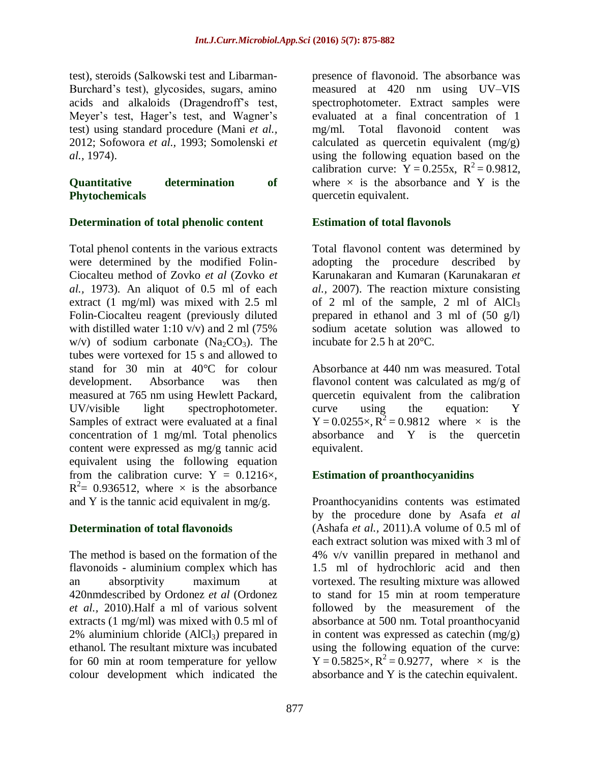test), steroids (Salkowski test and Libarman-Burchard's test), glycosides, sugars, amino acids and alkaloids (Dragendroff's test, Meyer's test, Hager's test, and Wagner's test) using standard procedure (Mani *et al.,* 2012; Sofowora *et al.,* 1993; Somolenski *et al.,* 1974).

#### **Quantitative determination of Phytochemicals**

#### **Determination of total phenolic content**

Total phenol contents in the various extracts were determined by the modified Folin-Ciocalteu method of Zovko *et al* (Zovko *et al.,* 1973). An aliquot of 0.5 ml of each extract (1 mg/ml) was mixed with 2.5 ml Folin-Ciocalteu reagent (previously diluted with distilled water 1:10 v/v) and 2 ml (75%) w/v) of sodium carbonate ( $Na<sub>2</sub>CO<sub>3</sub>$ ). The tubes were vortexed for 15 s and allowed to stand for 30 min at 40°C for colour development. Absorbance was then measured at 765 nm using Hewlett Packard, UV/visible light spectrophotometer. Samples of extract were evaluated at a final concentration of 1 mg/ml. Total phenolics content were expressed as mg/g tannic acid equivalent using the following equation from the calibration curve:  $Y = 0.1216 \times$ ,  $R^2$  = 0.936512, where  $\times$  is the absorbance and Y is the tannic acid equivalent in mg/g.

#### **Determination of total flavonoids**

The method is based on the formation of the flavonoids - aluminium complex which has an absorptivity maximum at 420nmdescribed by Ordonez *et al* (Ordonez *et al.,* 2010).Half a ml of various solvent extracts (1 mg/ml) was mixed with 0.5 ml of  $2\%$  aluminium chloride (AlCl<sub>3</sub>) prepared in ethanol. The resultant mixture was incubated for 60 min at room temperature for yellow colour development which indicated the

presence of flavonoid. The absorbance was measured at 420 nm using UV–VIS spectrophotometer. Extract samples were evaluated at a final concentration of 1 mg/ml. Total flavonoid content was calculated as quercetin equivalent (mg/g) using the following equation based on the calibration curve:  $Y = 0.255x$ ,  $R^2 = 0.9812$ , where  $\times$  is the absorbance and Y is the quercetin equivalent.

#### **Estimation of total flavonols**

Total flavonol content was determined by adopting the procedure described by Karunakaran and Kumaran (Karunakaran *et al.,* 2007). The reaction mixture consisting of 2 ml of the sample, 2 ml of  $AlCl<sub>3</sub>$ prepared in ethanol and 3 ml of (50 g/l) sodium acetate solution was allowed to incubate for 2.5 h at 20°C.

Absorbance at 440 nm was measured. Total flavonol content was calculated as mg/g of quercetin equivalent from the calibration curve using the equation: Y  $Y = 0.0255 \times, R^2 = 0.9812$  where  $\times$  is the absorbance and Y is the quercetin equivalent.

# **Estimation of proanthocyanidins**

Proanthocyanidins contents was estimated by the procedure done by Asafa *et al* (Ashafa *et al.,* 2011).A volume of 0.5 ml of each extract solution was mixed with 3 ml of 4% v/v vanillin prepared in methanol and 1.5 ml of hydrochloric acid and then vortexed. The resulting mixture was allowed to stand for 15 min at room temperature followed by the measurement of the absorbance at 500 nm. Total proanthocyanid in content was expressed as catechin (mg/g) using the following equation of the curve:  $Y = 0.5825 \times$ ,  $R^2 = 0.9277$ , where  $\times$  is the absorbance and Y is the catechin equivalent.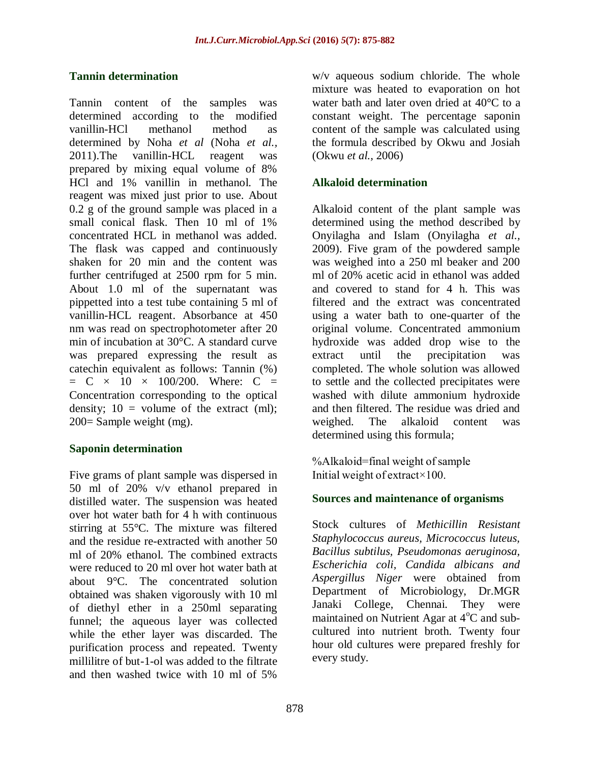#### **Tannin determination**

Tannin content of the samples was determined according to the modified vanillin-HCl methanol method as determined by Noha *et al* (Noha *et al.,* 2011).The vanillin-HCL reagent was prepared by mixing equal volume of 8% HCl and 1% vanillin in methanol. The reagent was mixed just prior to use. About 0.2 g of the ground sample was placed in a small conical flask. Then 10 ml of 1% concentrated HCL in methanol was added. The flask was capped and continuously shaken for 20 min and the content was further centrifuged at 2500 rpm for 5 min. About 1.0 ml of the supernatant was pippetted into a test tube containing 5 ml of vanillin-HCL reagent. Absorbance at 450 nm was read on spectrophotometer after 20 min of incubation at 30°C. A standard curve was prepared expressing the result as catechin equivalent as follows: Tannin (%)  $= C \times 10 \times 100/200$ . Where: C = Concentration corresponding to the optical density;  $10 =$  volume of the extract (ml); 200= Sample weight (mg).

#### **Saponin determination**

Five grams of plant sample was dispersed in 50 ml of 20% v/v ethanol prepared in distilled water. The suspension was heated over hot water bath for 4 h with continuous stirring at 55°C. The mixture was filtered and the residue re-extracted with another 50 ml of 20% ethanol. The combined extracts were reduced to 20 ml over hot water bath at about 9°C. The concentrated solution obtained was shaken vigorously with 10 ml of diethyl ether in a 250ml separating funnel; the aqueous layer was collected while the ether layer was discarded. The purification process and repeated. Twenty millilitre of but-1-ol was added to the filtrate and then washed twice with 10 ml of 5%

w/v aqueous sodium chloride. The whole mixture was heated to evaporation on hot water bath and later oven dried at 40°C to a constant weight. The percentage saponin content of the sample was calculated using the formula described by Okwu and Josiah (Okwu *et al.,* 2006)

#### **Alkaloid determination**

Alkaloid content of the plant sample was determined using the method described by Onyilagha and Islam (Onyilagha *et al.,* 2009). Five gram of the powdered sample was weighed into a 250 ml beaker and 200 ml of 20% acetic acid in ethanol was added and covered to stand for 4 h. This was filtered and the extract was concentrated using a water bath to one-quarter of the original volume. Concentrated ammonium hydroxide was added drop wise to the extract until the precipitation was completed. The whole solution was allowed to settle and the collected precipitates were washed with dilute ammonium hydroxide and then filtered. The residue was dried and weighed. The alkaloid content was determined using this formula;

%Alkaloid=final weight of sample Initial weight of extract×100.

#### **Sources and maintenance of organisms**

Stock cultures of *Methicillin Resistant Staphylococcus aureus, Micrococcus luteus, Bacillus subtilus, Pseudomonas aeruginosa, Escherichia coli, Candida albicans and Aspergillus Niger* were obtained from Department of Microbiology, Dr.MGR Janaki College, Chennai. They were maintained on Nutrient Agar at  $4^{\circ}$ C and subcultured into nutrient broth. Twenty four hour old cultures were prepared freshly for every study.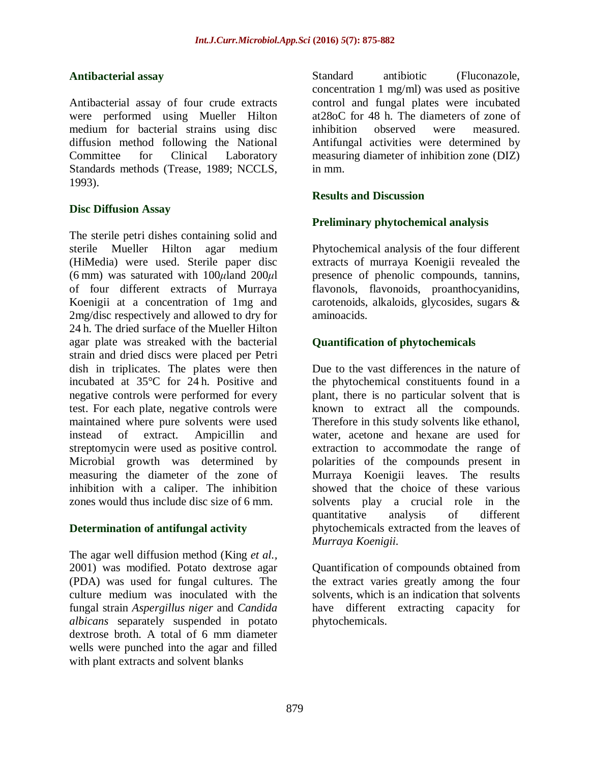#### **Antibacterial assay**

Antibacterial assay of four crude extracts were performed using Mueller Hilton medium for bacterial strains using disc diffusion method following the National Committee for Clinical Laboratory Standards methods (Trease, 1989; NCCLS, 1993).

#### **Disc Diffusion Assay**

The sterile petri dishes containing solid and sterile Mueller Hilton agar medium (HiMedia) were used. Sterile paper disc (6 mm) was saturated with 100*μ*land 200*μ*l of four different extracts of Murraya Koenigii at a concentration of 1mg and 2mg/disc respectively and allowed to dry for 24 h. The dried surface of the Mueller Hilton agar plate was streaked with the bacterial strain and dried discs were placed per Petri dish in triplicates. The plates were then incubated at 35°C for 24 h. Positive and negative controls were performed for every test. For each plate, negative controls were maintained where pure solvents were used instead of extract. Ampicillin and streptomycin were used as positive control. Microbial growth was determined by measuring the diameter of the zone of inhibition with a caliper. The inhibition zones would thus include disc size of 6 mm.

# **Determination of antifungal activity**

The agar well diffusion method (King *et al.,* 2001) was modified. Potato dextrose agar (PDA) was used for fungal cultures. The culture medium was inoculated with the fungal strain *Aspergillus niger* and *Candida albicans* separately suspended in potato dextrose broth. A total of 6 mm diameter wells were punched into the agar and filled with plant extracts and solvent blanks

Standard antibiotic (Fluconazole, concentration 1 mg/ml) was used as positive control and fungal plates were incubated at28oC for 48 h. The diameters of zone of inhibition observed were measured. Antifungal activities were determined by measuring diameter of inhibition zone (DIZ) in mm.

#### **Results and Discussion**

#### **Preliminary phytochemical analysis**

Phytochemical analysis of the four different extracts of murraya Koenigii revealed the presence of phenolic compounds, tannins, flavonols, flavonoids, proanthocyanidins, carotenoids, alkaloids, glycosides, sugars & aminoacids.

#### **Quantification of phytochemicals**

Due to the vast differences in the nature of the phytochemical constituents found in a plant, there is no particular solvent that is known to extract all the compounds. Therefore in this study solvents like ethanol, water, acetone and hexane are used for extraction to accommodate the range of polarities of the compounds present in Murraya Koenigii leaves. The results showed that the choice of these various solvents play a crucial role in the quantitative analysis of different phytochemicals extracted from the leaves of *Murraya Koenigii.* 

Quantification of compounds obtained from the extract varies greatly among the four solvents, which is an indication that solvents have different extracting capacity for phytochemicals.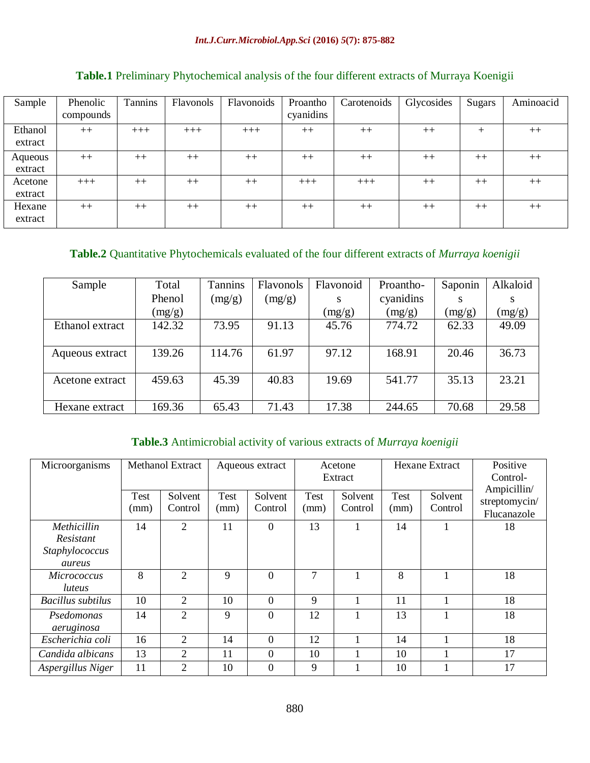| Sample  | Phenolic<br>compounds | Tannins | Flavonols | Flavonoids | Proantho<br>cyanidins | Carotenoids | Glycosides | <b>Sugars</b> | Aminoacid |
|---------|-----------------------|---------|-----------|------------|-----------------------|-------------|------------|---------------|-----------|
| Ethanol | $++$                  | $+++$   | $+++$     | $+++$      | $++$                  | $++$        | $++$       | $^{+}$        | $++$      |
| extract |                       |         |           |            |                       |             |            |               |           |
| Aqueous | $++$                  | $++$    | $++$      | $++$       | $++$                  | $++$        | $++$       | $++$          | $++$      |
| extract |                       |         |           |            |                       |             |            |               |           |
| Acetone | $+++$                 | $++$    | $++$      | $++$       | $+++$                 | $+++$       | $++$       | $++$          | $++$      |
| extract |                       |         |           |            |                       |             |            |               |           |
| Hexane  | $++$                  | $++$    | $++$      | $++$       | $++$                  | $++$        | $++$       | $++$          | $++$      |
| extract |                       |         |           |            |                       |             |            |               |           |

# **Table.1** Preliminary Phytochemical analysis of the four different extracts of Murraya Koenigii

#### **Table.2** Quantitative Phytochemicals evaluated of the four different extracts of *Murraya koenigii*

| Sample          | Total  | Tannins | Flavonols | Flavonoid | Proantho- | Saponin | Alkaloid |
|-----------------|--------|---------|-----------|-----------|-----------|---------|----------|
|                 | Phenol | (mg/g)  | (mg/g)    | S         | cyanidins |         | S        |
|                 | (mg/g) |         |           | (mg/g)    | (mg/g)    | (mg/g)  | (mg/g)   |
| Ethanol extract | 142.32 | 73.95   | 91.13     | 45.76     | 774.72    | 62.33   | 49.09    |
|                 |        |         |           |           |           |         |          |
| Aqueous extract | 139.26 | 114.76  | 61.97     | 97.12     | 168.91    | 20.46   | 36.73    |
|                 |        |         |           |           |           |         |          |
| Acetone extract | 459.63 | 45.39   | 40.83     | 19.69     | 541.77    | 35.13   | 23.21    |
|                 |        |         |           |           |           |         |          |
| Hexane extract  | 169.36 | 65.43   | 71.43     | 17.38     | 244.65    | 70.68   | 29.58    |

## **Table.3** Antimicrobial activity of various extracts of *Murraya koenigii*

| Microorganisms    | <b>Methanol Extract</b> |                    | Aqueous extract     |                    | Acetone             |                    | <b>Hexane Extract</b> |                    | Positive                                    |
|-------------------|-------------------------|--------------------|---------------------|--------------------|---------------------|--------------------|-----------------------|--------------------|---------------------------------------------|
|                   |                         |                    |                     |                    | Extract             |                    |                       |                    | Control-                                    |
|                   | Test<br>(mm)            | Solvent<br>Control | <b>Test</b><br>(mm) | Solvent<br>Control | <b>Test</b><br>(mm) | Solvent<br>Control | Test<br>(mm)          | Solvent<br>Control | Ampicillin/<br>streptomycin/<br>Flucanazole |
| Methicillin       | 14                      | $\overline{2}$     | 11                  | $\Omega$           | 13                  |                    | 14                    |                    | 18                                          |
| Resistant         |                         |                    |                     |                    |                     |                    |                       |                    |                                             |
| Staphylococcus    |                         |                    |                     |                    |                     |                    |                       |                    |                                             |
| aureus            |                         |                    |                     |                    |                     |                    |                       |                    |                                             |
| Micrococcus       | 8                       | $\overline{2}$     | 9                   | $\Omega$           | 7                   | 1                  | 8                     |                    | 18                                          |
| luteus            |                         |                    |                     |                    |                     |                    |                       |                    |                                             |
| Bacillus subtilus | 10                      | $\overline{2}$     | 10                  | $\Omega$           | 9                   |                    | 11                    |                    | 18                                          |
| Psedomonas        | 14                      | $\overline{2}$     | 9                   | $\Omega$           | 12                  |                    | 13                    |                    | 18                                          |
| aeruginosa        |                         |                    |                     |                    |                     |                    |                       |                    |                                             |
| Escherichia coli  | 16                      | $\overline{2}$     | 14                  | $\Omega$           | 12                  |                    | 14                    |                    | 18                                          |
| Candida albicans  | 13                      | 2                  | 11                  | $\Omega$           | 10                  |                    | 10                    |                    | 17                                          |
| Aspergillus Niger | 11                      | $\overline{2}$     | 10                  | $\Omega$           | 9                   |                    | 10                    |                    | 17                                          |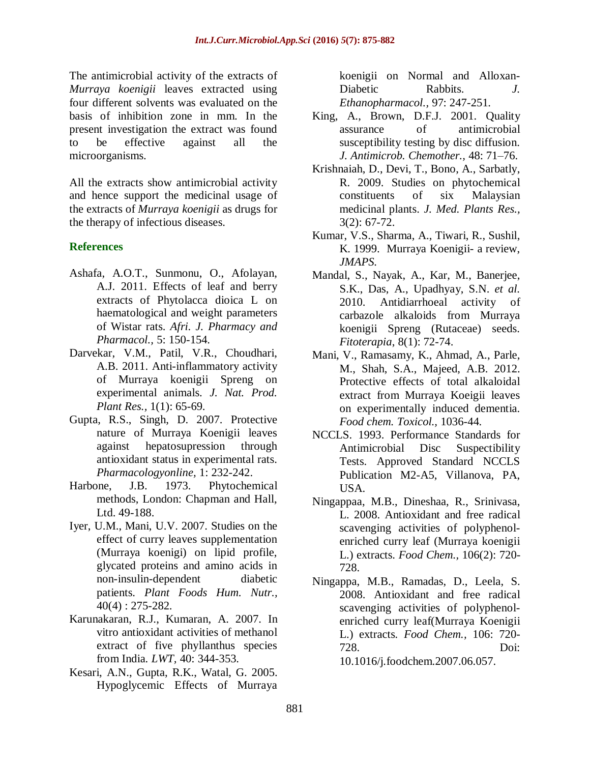The antimicrobial activity of the extracts of *Murraya koenigii* leaves extracted using four different solvents was evaluated on the basis of inhibition zone in mm. In the present investigation the extract was found to be effective against all the microorganisms.

All the extracts show antimicrobial activity and hence support the medicinal usage of the extracts of *Murraya koenigii* as drugs for the therapy of infectious diseases.

#### **References**

- Ashafa, A.O.T., Sunmonu, O., Afolayan, A.J. 2011. Effects of leaf and berry extracts of Phytolacca dioica L on haematological and weight parameters of Wistar rats. *Afri. J. Pharmacy and Pharmacol.,* 5: 150-154.
- Darvekar, V.M., Patil, V.R., Choudhari, A.B. 2011. Anti-inflammatory activity of Murraya koenigii Spreng on experimental animals. *J. Nat. Prod. Plant Res.,* 1(1): 65-69.
- Gupta, R.S., Singh, D. 2007. Protective nature of Murraya Koenigii leaves against hepatosupression through antioxidant status in experimental rats. *Pharmacologyonline,* 1: 232-242.
- Harbone, J.B. 1973. Phytochemical methods, London: Chapman and Hall, Ltd. 49-188.
- Iyer, U.M., Mani, U.V. 2007. Studies on the effect of curry leaves supplementation (Murraya koenigi) on lipid profile, glycated proteins and amino acids in non-insulin-dependent diabetic patients. *Plant Foods Hum. Nutr.,*  40(4) : 275-282.
- Karunakaran, R.J., Kumaran, A. 2007. In vitro antioxidant activities of methanol extract of five phyllanthus species from India*. LWT,* 40: 344-353.
- Kesari, A.N., Gupta, R.K., Watal, G. 2005. Hypoglycemic Effects of Murraya

koenigii on Normal and Alloxan-Diabetic Rabbits. *J. Ethanopharmacol.,* 97: 247-251.

- King, A., Brown, D.F.J. 2001. Quality assurance of antimicrobial susceptibility testing by disc diffusion. *J. Antimicrob. Chemother.,* 48: 71–76.
- Krishnaiah, D., Devi, T., Bono, A., Sarbatly, R. 2009. Studies on phytochemical constituents of six Malaysian medicinal plants. *J. Med. Plants Res.,* 3(2): 67-72.
- Kumar, V.S., Sharma, A., Tiwari, R., Sushil, K. 1999. Murraya Koenigii- a review, *JMAPS.*
- Mandal, S., Nayak, A., Kar, M., Banerjee, S.K., Das, A., Upadhyay, S.N. *et al.*  2010. Antidiarrhoeal activity of carbazole alkaloids from Murraya koenigii Spreng (Rutaceae) seeds. *Fitoterapia*, 8(1): 72-74.
- Mani, V., Ramasamy, K., Ahmad, A., Parle, M., Shah, S.A., Majeed, A.B. 2012. Protective effects of total alkaloidal extract from Murraya Koeigii leaves on experimentally induced dementia. *Food chem. Toxicol.,* 1036-44.
- NCCLS. 1993. Performance Standards for Antimicrobial Disc Suspectibility Tests. Approved Standard NCCLS Publication M2-A5, Villanova, PA, USA.
- Ningappaa, M.B., Dineshaa, R., Srinivasa, L. 2008. Antioxidant and free radical scavenging activities of polyphenolenriched curry leaf (Murraya koenigii L.) extracts. *Food Chem.,* 106(2): 720- 728.
- Ningappa, M.B., Ramadas, D., Leela, S. 2008. Antioxidant and free radical scavenging activities of polyphenolenriched curry leaf(Murraya Koenigii L.) extracts*. Food Chem.,* 106: 720- 728. Doi: 10.1016/j.foodchem.2007.06.057.